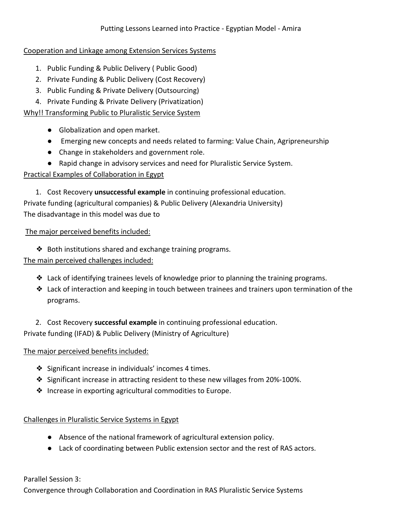### Cooperation and Linkage among Extension Services Systems

- 1. Public Funding & Public Delivery ( Public Good)
- 2. Private Funding & Public Delivery (Cost Recovery)
- 3. Public Funding & Private Delivery (Outsourcing)
- 4. Private Funding & Private Delivery (Privatization)

# Why!! Transforming Public to Pluralistic Service System

- Globalization and open market.
- Emerging new concepts and needs related to farming: Value Chain, Agripreneurship
- Change in stakeholders and government role.
- Rapid change in advisory services and need for Pluralistic Service System.

### Practical Examples of Collaboration in Egypt

1. Cost Recovery **unsuccessful example** in continuing professional education. Private funding (agricultural companies) & Public Delivery (Alexandria University)

The disadvantage in this model was due to

The major perceived benefits included:

❖ Both institutions shared and exchange training programs.

# The main perceived challenges included:

- ❖ Lack of identifying trainees levels of knowledge prior to planning the training programs.
- ❖ Lack of interaction and keeping in touch between trainees and trainers upon termination of the programs.

2. Cost Recovery **successful example** in continuing professional education. Private funding (IFAD) & Public Delivery (Ministry of Agriculture)

# The major perceived benefits included:

- ❖ Significant increase in individuals' incomes 4 times.
- ❖ Significant increase in attracting resident to these new villages from 20%-100%.
- ❖ Increase in exporting agricultural commodities to Europe.

# Challenges in Pluralistic Service Systems in Egypt

- Absence of the national framework of agricultural extension policy.
- Lack of coordinating between Public extension sector and the rest of RAS actors.

Parallel Session 3:

Convergence through Collaboration and Coordination in RAS Pluralistic Service Systems